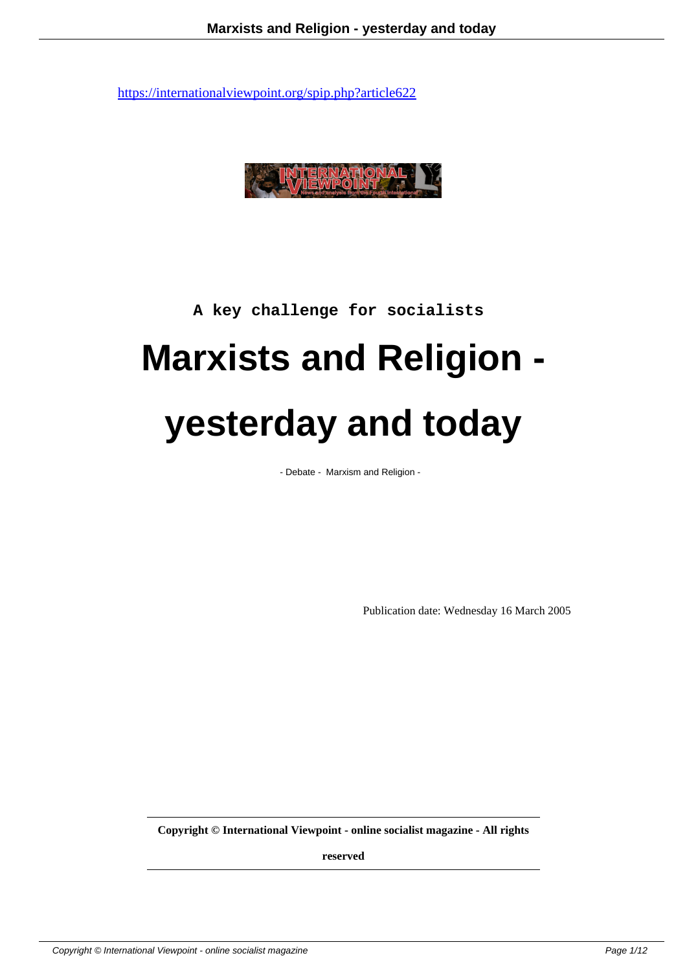

## **A key challenge for socialists**

## **Marxists and Religion yesterday and today**

- Debate - Marxism and Religion -

Publication date: Wednesday 16 March 2005

**Copyright © International Viewpoint - online socialist magazine - All rights**

**reserved**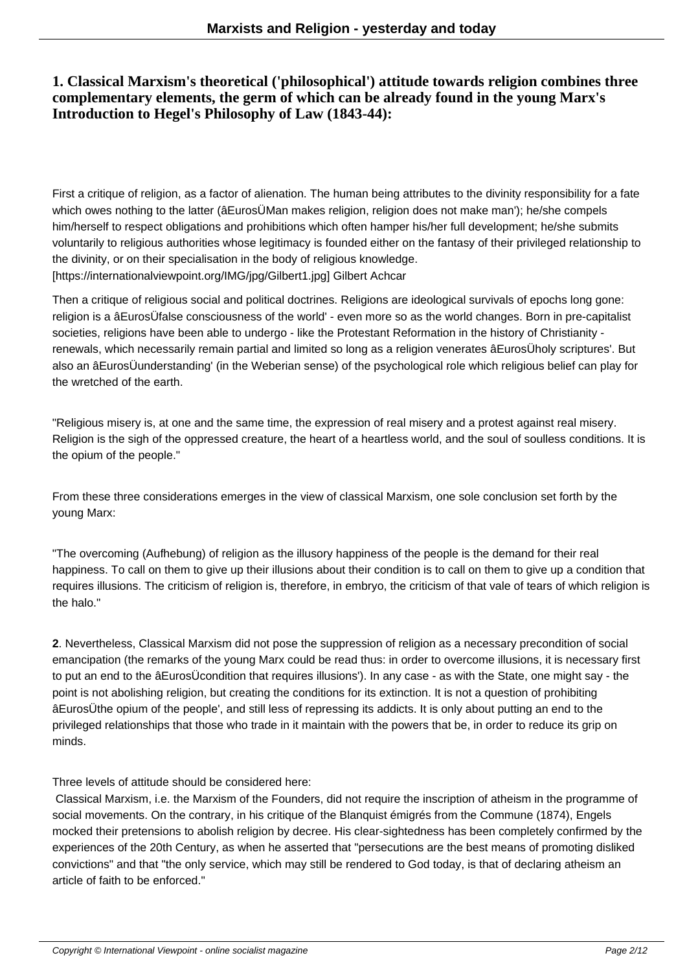## **1. Classical Marxism's theoretical ('philosophical') attitude towards religion combines three complementary elements, the germ of which can be already found in the young Marx's Introduction to Hegel's Philosophy of Law (1843-44):**

First a critique of religion, as a factor of alienation. The human being attributes to the divinity responsibility for a fate which owes nothing to the latter (âEurosÜMan makes religion, religion does not make man'); he/she compels him/herself to respect obligations and prohibitions which often hamper his/her full development; he/she submits voluntarily to religious authorities whose legitimacy is founded either on the fantasy of their privileged relationship to the divinity, or on their specialisation in the body of religious knowledge. [https://internationalviewpoint.org/IMG/jpg/Gilbert1.jpg] Gilbert Achcar

Then a critique of religious social and political doctrines. Religions are ideological survivals of epochs long gone: religion is a âEurosÜfalse consciousness of the world' - even more so as the world changes. Born in pre-capitalist societies, religions have been able to undergo - like the Protestant Reformation in the history of Christianity renewals, which necessarily remain partial and limited so long as a religion venerates âEurosÜholy scriptures'. But also an âEurosÜunderstanding' (in the Weberian sense) of the psychological role which religious belief can play for the wretched of the earth.

"Religious misery is, at one and the same time, the expression of real misery and a protest against real misery. Religion is the sigh of the oppressed creature, the heart of a heartless world, and the soul of soulless conditions. It is the opium of the people."

From these three considerations emerges in the view of classical Marxism, one sole conclusion set forth by the young Marx:

"The overcoming (Aufhebung) of religion as the illusory happiness of the people is the demand for their real happiness. To call on them to give up their illusions about their condition is to call on them to give up a condition that requires illusions. The criticism of religion is, therefore, in embryo, the criticism of that vale of tears of which religion is the halo."

**2**. Nevertheless, Classical Marxism did not pose the suppression of religion as a necessary precondition of social emancipation (the remarks of the young Marx could be read thus: in order to overcome illusions, it is necessary first to put an end to the âEurosÜcondition that requires illusions'). In any case - as with the State, one might say - the point is not abolishing religion, but creating the conditions for its extinction. It is not a question of prohibiting âEurosÜthe opium of the people', and still less of repressing its addicts. It is only about putting an end to the privileged relationships that those who trade in it maintain with the powers that be, in order to reduce its grip on minds.

Three levels of attitude should be considered here:

 Classical Marxism, i.e. the Marxism of the Founders, did not require the inscription of atheism in the programme of social movements. On the contrary, in his critique of the Blanquist émigrés from the Commune (1874), Engels mocked their pretensions to abolish religion by decree. His clear-sightedness has been completely confirmed by the experiences of the 20th Century, as when he asserted that "persecutions are the best means of promoting disliked convictions" and that "the only service, which may still be rendered to God today, is that of declaring atheism an article of faith to be enforced."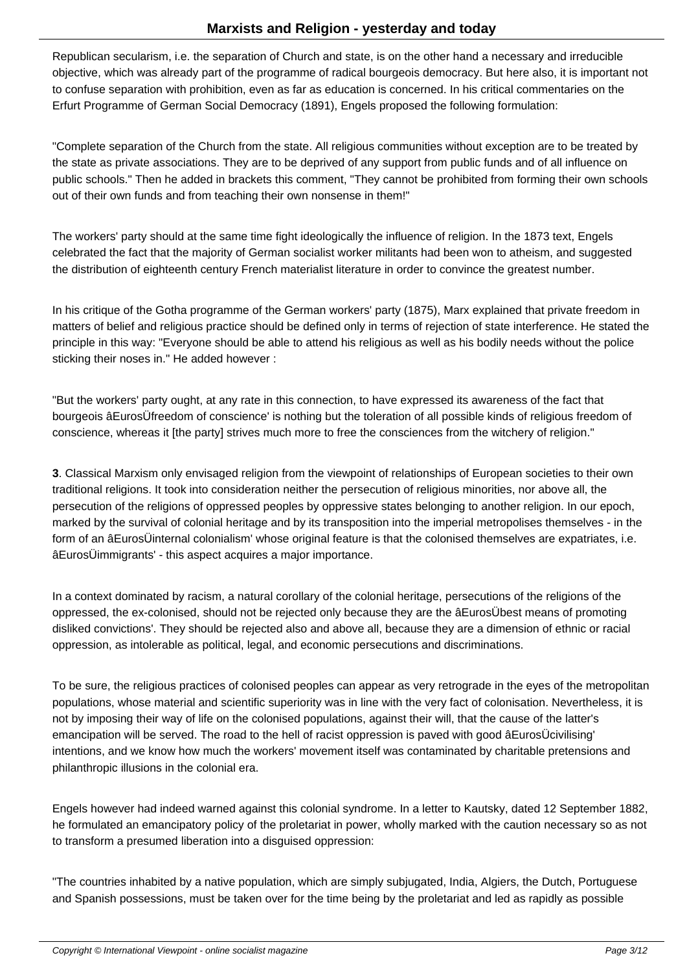Republican secularism, i.e. the separation of Church and state, is on the other hand a necessary and irreducible objective, which was already part of the programme of radical bourgeois democracy. But here also, it is important not to confuse separation with prohibition, even as far as education is concerned. In his critical commentaries on the Erfurt Programme of German Social Democracy (1891), Engels proposed the following formulation:

"Complete separation of the Church from the state. All religious communities without exception are to be treated by the state as private associations. They are to be deprived of any support from public funds and of all influence on public schools." Then he added in brackets this comment, "They cannot be prohibited from forming their own schools out of their own funds and from teaching their own nonsense in them!"

The workers' party should at the same time fight ideologically the influence of religion. In the 1873 text, Engels celebrated the fact that the majority of German socialist worker militants had been won to atheism, and suggested the distribution of eighteenth century French materialist literature in order to convince the greatest number.

In his critique of the Gotha programme of the German workers' party (1875), Marx explained that private freedom in matters of belief and religious practice should be defined only in terms of rejection of state interference. He stated the principle in this way: "Everyone should be able to attend his religious as well as his bodily needs without the police sticking their noses in." He added however :

"But the workers' party ought, at any rate in this connection, to have expressed its awareness of the fact that bourgeois âEurosÜfreedom of conscience' is nothing but the toleration of all possible kinds of religious freedom of conscience, whereas it [the party] strives much more to free the consciences from the witchery of religion."

**3**. Classical Marxism only envisaged religion from the viewpoint of relationships of European societies to their own traditional religions. It took into consideration neither the persecution of religious minorities, nor above all, the persecution of the religions of oppressed peoples by oppressive states belonging to another religion. In our epoch, marked by the survival of colonial heritage and by its transposition into the imperial metropolises themselves - in the form of an âEurosÜinternal colonialism' whose original feature is that the colonised themselves are expatriates, i.e. âEurosÜimmigrants' - this aspect acquires a major importance.

In a context dominated by racism, a natural corollary of the colonial heritage, persecutions of the religions of the oppressed, the ex-colonised, should not be rejected only because they are the âEurosÜbest means of promoting disliked convictions'. They should be rejected also and above all, because they are a dimension of ethnic or racial oppression, as intolerable as political, legal, and economic persecutions and discriminations.

To be sure, the religious practices of colonised peoples can appear as very retrograde in the eyes of the metropolitan populations, whose material and scientific superiority was in line with the very fact of colonisation. Nevertheless, it is not by imposing their way of life on the colonised populations, against their will, that the cause of the latter's emancipation will be served. The road to the hell of racist oppression is paved with good âEurosÜcivilising' intentions, and we know how much the workers' movement itself was contaminated by charitable pretensions and philanthropic illusions in the colonial era.

Engels however had indeed warned against this colonial syndrome. In a letter to Kautsky, dated 12 September 1882, he formulated an emancipatory policy of the proletariat in power, wholly marked with the caution necessary so as not to transform a presumed liberation into a disguised oppression:

"The countries inhabited by a native population, which are simply subjugated, India, Algiers, the Dutch, Portuguese and Spanish possessions, must be taken over for the time being by the proletariat and led as rapidly as possible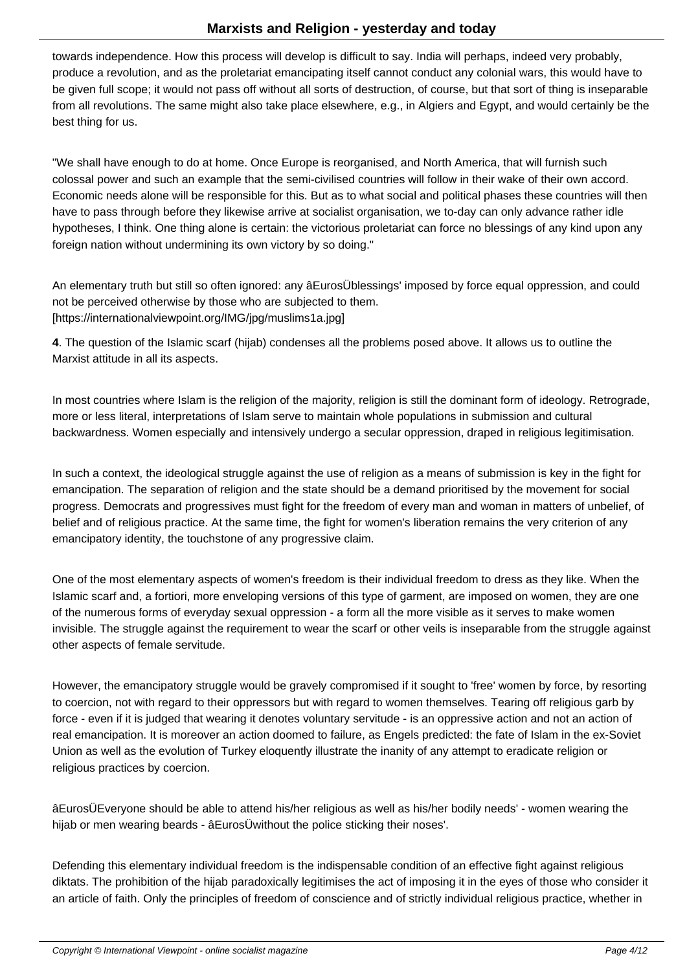towards independence. How this process will develop is difficult to say. India will perhaps, indeed very probably, produce a revolution, and as the proletariat emancipating itself cannot conduct any colonial wars, this would have to be given full scope; it would not pass off without all sorts of destruction, of course, but that sort of thing is inseparable from all revolutions. The same might also take place elsewhere, e.g., in Algiers and Egypt, and would certainly be the best thing for us.

"We shall have enough to do at home. Once Europe is reorganised, and North America, that will furnish such colossal power and such an example that the semi-civilised countries will follow in their wake of their own accord. Economic needs alone will be responsible for this. But as to what social and political phases these countries will then have to pass through before they likewise arrive at socialist organisation, we to-day can only advance rather idle hypotheses, I think. One thing alone is certain: the victorious proletariat can force no blessings of any kind upon any foreign nation without undermining its own victory by so doing."

An elementary truth but still so often ignored: any âEurosÜblessings' imposed by force equal oppression, and could not be perceived otherwise by those who are subjected to them. [https://internationalviewpoint.org/IMG/jpg/muslims1a.jpg]

**4**. The question of the Islamic scarf (hijab) condenses all the problems posed above. It allows us to outline the Marxist attitude in all its aspects.

In most countries where Islam is the religion of the majority, religion is still the dominant form of ideology. Retrograde, more or less literal, interpretations of Islam serve to maintain whole populations in submission and cultural backwardness. Women especially and intensively undergo a secular oppression, draped in religious legitimisation.

In such a context, the ideological struggle against the use of religion as a means of submission is key in the fight for emancipation. The separation of religion and the state should be a demand prioritised by the movement for social progress. Democrats and progressives must fight for the freedom of every man and woman in matters of unbelief, of belief and of religious practice. At the same time, the fight for women's liberation remains the very criterion of any emancipatory identity, the touchstone of any progressive claim.

One of the most elementary aspects of women's freedom is their individual freedom to dress as they like. When the Islamic scarf and, a fortiori, more enveloping versions of this type of garment, are imposed on women, they are one of the numerous forms of everyday sexual oppression - a form all the more visible as it serves to make women invisible. The struggle against the requirement to wear the scarf or other veils is inseparable from the struggle against other aspects of female servitude.

However, the emancipatory struggle would be gravely compromised if it sought to 'free' women by force, by resorting to coercion, not with regard to their oppressors but with regard to women themselves. Tearing off religious garb by force - even if it is judged that wearing it denotes voluntary servitude - is an oppressive action and not an action of real emancipation. It is moreover an action doomed to failure, as Engels predicted: the fate of Islam in the ex-Soviet Union as well as the evolution of Turkey eloquently illustrate the inanity of any attempt to eradicate religion or religious practices by coercion.

âEurosÜEveryone should be able to attend his/her religious as well as his/her bodily needs' - women wearing the hijab or men wearing beards - âEurosÜwithout the police sticking their noses'.

Defending this elementary individual freedom is the indispensable condition of an effective fight against religious diktats. The prohibition of the hijab paradoxically legitimises the act of imposing it in the eyes of those who consider it an article of faith. Only the principles of freedom of conscience and of strictly individual religious practice, whether in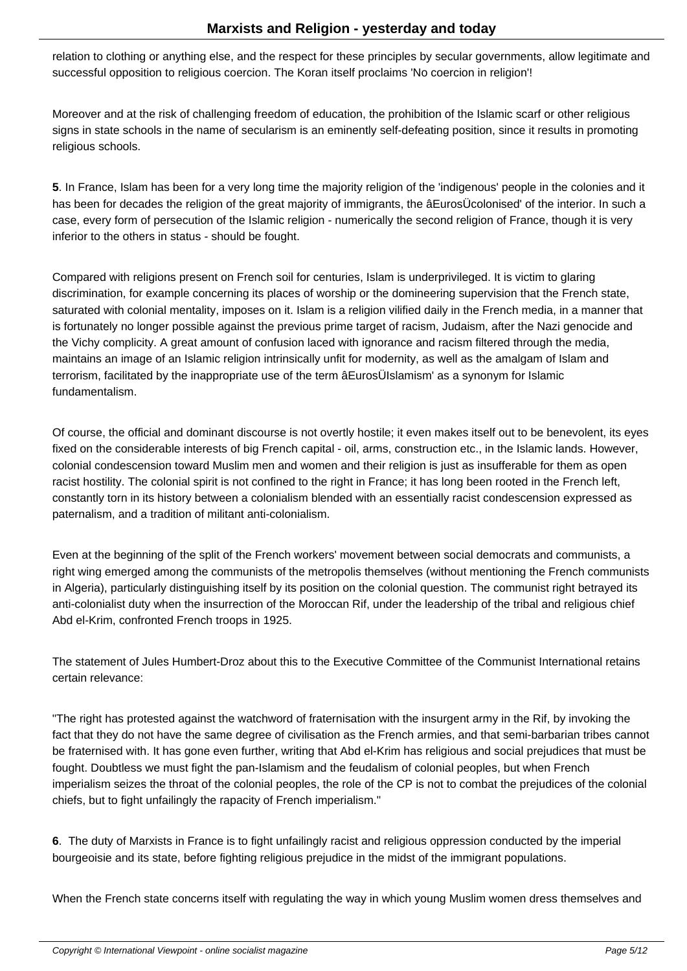relation to clothing or anything else, and the respect for these principles by secular governments, allow legitimate and successful opposition to religious coercion. The Koran itself proclaims 'No coercion in religion'!

Moreover and at the risk of challenging freedom of education, the prohibition of the Islamic scarf or other religious signs in state schools in the name of secularism is an eminently self-defeating position, since it results in promoting religious schools.

**5**. In France, Islam has been for a very long time the majority religion of the 'indigenous' people in the colonies and it has been for decades the religion of the great majority of immigrants, the âEurosÜcolonised' of the interior. In such a case, every form of persecution of the Islamic religion - numerically the second religion of France, though it is very inferior to the others in status - should be fought.

Compared with religions present on French soil for centuries, Islam is underprivileged. It is victim to glaring discrimination, for example concerning its places of worship or the domineering supervision that the French state, saturated with colonial mentality, imposes on it. Islam is a religion vilified daily in the French media, in a manner that is fortunately no longer possible against the previous prime target of racism, Judaism, after the Nazi genocide and the Vichy complicity. A great amount of confusion laced with ignorance and racism filtered through the media, maintains an image of an Islamic religion intrinsically unfit for modernity, as well as the amalgam of Islam and terrorism, facilitated by the inappropriate use of the term âEurosÜIslamism' as a synonym for Islamic fundamentalism.

Of course, the official and dominant discourse is not overtly hostile; it even makes itself out to be benevolent, its eyes fixed on the considerable interests of big French capital - oil, arms, construction etc., in the Islamic lands. However, colonial condescension toward Muslim men and women and their religion is just as insufferable for them as open racist hostility. The colonial spirit is not confined to the right in France; it has long been rooted in the French left, constantly torn in its history between a colonialism blended with an essentially racist condescension expressed as paternalism, and a tradition of militant anti-colonialism.

Even at the beginning of the split of the French workers' movement between social democrats and communists, a right wing emerged among the communists of the metropolis themselves (without mentioning the French communists in Algeria), particularly distinguishing itself by its position on the colonial question. The communist right betrayed its anti-colonialist duty when the insurrection of the Moroccan Rif, under the leadership of the tribal and religious chief Abd el-Krim, confronted French troops in 1925.

The statement of Jules Humbert-Droz about this to the Executive Committee of the Communist International retains certain relevance:

"The right has protested against the watchword of fraternisation with the insurgent army in the Rif, by invoking the fact that they do not have the same degree of civilisation as the French armies, and that semi-barbarian tribes cannot be fraternised with. It has gone even further, writing that Abd el-Krim has religious and social prejudices that must be fought. Doubtless we must fight the pan-Islamism and the feudalism of colonial peoples, but when French imperialism seizes the throat of the colonial peoples, the role of the CP is not to combat the prejudices of the colonial chiefs, but to fight unfailingly the rapacity of French imperialism."

**6**. The duty of Marxists in France is to fight unfailingly racist and religious oppression conducted by the imperial bourgeoisie and its state, before fighting religious prejudice in the midst of the immigrant populations.

When the French state concerns itself with regulating the way in which young Muslim women dress themselves and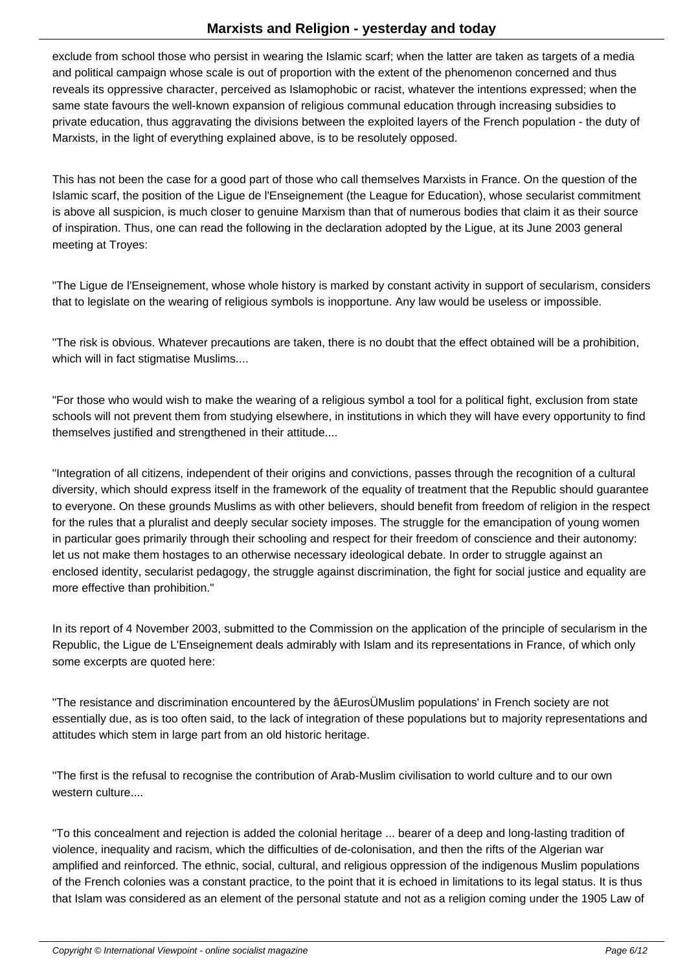exclude from school those who persist in wearing the Islamic scarf; when the latter are taken as targets of a media and political campaign whose scale is out of proportion with the extent of the phenomenon concerned and thus reveals its oppressive character, perceived as Islamophobic or racist, whatever the intentions expressed; when the same state favours the well-known expansion of religious communal education through increasing subsidies to private education, thus aggravating the divisions between the exploited layers of the French population - the duty of Marxists, in the light of everything explained above, is to be resolutely opposed.

This has not been the case for a good part of those who call themselves Marxists in France. On the question of the Islamic scarf, the position of the Ligue de l'Enseignement (the League for Education), whose secularist commitment is above all suspicion, is much closer to genuine Marxism than that of numerous bodies that claim it as their source of inspiration. Thus, one can read the following in the declaration adopted by the Ligue, at its June 2003 general meeting at Troyes:

"The Ligue de l'Enseignement, whose whole history is marked by constant activity in support of secularism, considers that to legislate on the wearing of religious symbols is inopportune. Any law would be useless or impossible.

"The risk is obvious. Whatever precautions are taken, there is no doubt that the effect obtained will be a prohibition, which will in fact stigmatise Muslims....

"For those who would wish to make the wearing of a religious symbol a tool for a political fight, exclusion from state schools will not prevent them from studying elsewhere, in institutions in which they will have every opportunity to find themselves justified and strengthened in their attitude....

"Integration of all citizens, independent of their origins and convictions, passes through the recognition of a cultural diversity, which should express itself in the framework of the equality of treatment that the Republic should guarantee to everyone. On these grounds Muslims as with other believers, should benefit from freedom of religion in the respect for the rules that a pluralist and deeply secular society imposes. The struggle for the emancipation of young women in particular goes primarily through their schooling and respect for their freedom of conscience and their autonomy: let us not make them hostages to an otherwise necessary ideological debate. In order to struggle against an enclosed identity, secularist pedagogy, the struggle against discrimination, the fight for social justice and equality are more effective than prohibition."

In its report of 4 November 2003, submitted to the Commission on the application of the principle of secularism in the Republic, the Ligue de L'Enseignement deals admirably with Islam and its representations in France, of which only some excerpts are quoted here:

"The resistance and discrimination encountered by the âEurosÜMuslim populations' in French society are not essentially due, as is too often said, to the lack of integration of these populations but to majority representations and attitudes which stem in large part from an old historic heritage.

"The first is the refusal to recognise the contribution of Arab-Muslim civilisation to world culture and to our own western culture....

"To this concealment and rejection is added the colonial heritage ... bearer of a deep and long-lasting tradition of violence, inequality and racism, which the difficulties of de-colonisation, and then the rifts of the Algerian war amplified and reinforced. The ethnic, social, cultural, and religious oppression of the indigenous Muslim populations of the French colonies was a constant practice, to the point that it is echoed in limitations to its legal status. It is thus that Islam was considered as an element of the personal statute and not as a religion coming under the 1905 Law of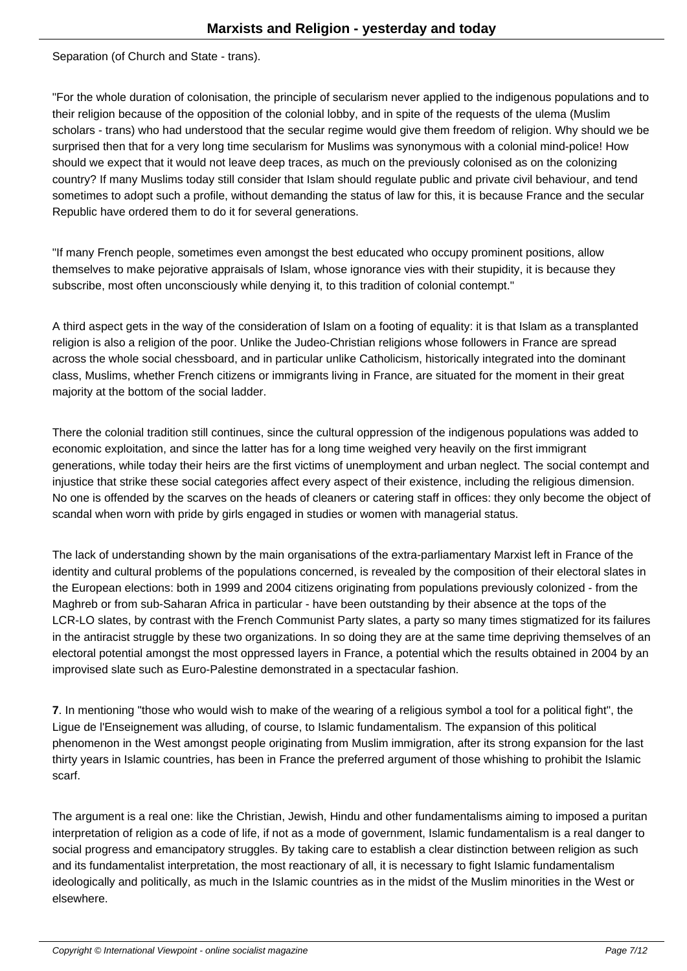Separation (of Church and State - trans).

"For the whole duration of colonisation, the principle of secularism never applied to the indigenous populations and to their religion because of the opposition of the colonial lobby, and in spite of the requests of the ulema (Muslim scholars - trans) who had understood that the secular regime would give them freedom of religion. Why should we be surprised then that for a very long time secularism for Muslims was synonymous with a colonial mind-police! How should we expect that it would not leave deep traces, as much on the previously colonised as on the colonizing country? If many Muslims today still consider that Islam should regulate public and private civil behaviour, and tend sometimes to adopt such a profile, without demanding the status of law for this, it is because France and the secular Republic have ordered them to do it for several generations.

"If many French people, sometimes even amongst the best educated who occupy prominent positions, allow themselves to make pejorative appraisals of Islam, whose ignorance vies with their stupidity, it is because they subscribe, most often unconsciously while denying it, to this tradition of colonial contempt."

A third aspect gets in the way of the consideration of Islam on a footing of equality: it is that Islam as a transplanted religion is also a religion of the poor. Unlike the Judeo-Christian religions whose followers in France are spread across the whole social chessboard, and in particular unlike Catholicism, historically integrated into the dominant class, Muslims, whether French citizens or immigrants living in France, are situated for the moment in their great majority at the bottom of the social ladder.

There the colonial tradition still continues, since the cultural oppression of the indigenous populations was added to economic exploitation, and since the latter has for a long time weighed very heavily on the first immigrant generations, while today their heirs are the first victims of unemployment and urban neglect. The social contempt and injustice that strike these social categories affect every aspect of their existence, including the religious dimension. No one is offended by the scarves on the heads of cleaners or catering staff in offices: they only become the object of scandal when worn with pride by girls engaged in studies or women with managerial status.

The lack of understanding shown by the main organisations of the extra-parliamentary Marxist left in France of the identity and cultural problems of the populations concerned, is revealed by the composition of their electoral slates in the European elections: both in 1999 and 2004 citizens originating from populations previously colonized - from the Maghreb or from sub-Saharan Africa in particular - have been outstanding by their absence at the tops of the LCR-LO slates, by contrast with the French Communist Party slates, a party so many times stigmatized for its failures in the antiracist struggle by these two organizations. In so doing they are at the same time depriving themselves of an electoral potential amongst the most oppressed layers in France, a potential which the results obtained in 2004 by an improvised slate such as Euro-Palestine demonstrated in a spectacular fashion.

**7**. In mentioning "those who would wish to make of the wearing of a religious symbol a tool for a political fight", the Ligue de l'Enseignement was alluding, of course, to Islamic fundamentalism. The expansion of this political phenomenon in the West amongst people originating from Muslim immigration, after its strong expansion for the last thirty years in Islamic countries, has been in France the preferred argument of those whishing to prohibit the Islamic scarf.

The argument is a real one: like the Christian, Jewish, Hindu and other fundamentalisms aiming to imposed a puritan interpretation of religion as a code of life, if not as a mode of government, Islamic fundamentalism is a real danger to social progress and emancipatory struggles. By taking care to establish a clear distinction between religion as such and its fundamentalist interpretation, the most reactionary of all, it is necessary to fight Islamic fundamentalism ideologically and politically, as much in the Islamic countries as in the midst of the Muslim minorities in the West or elsewhere.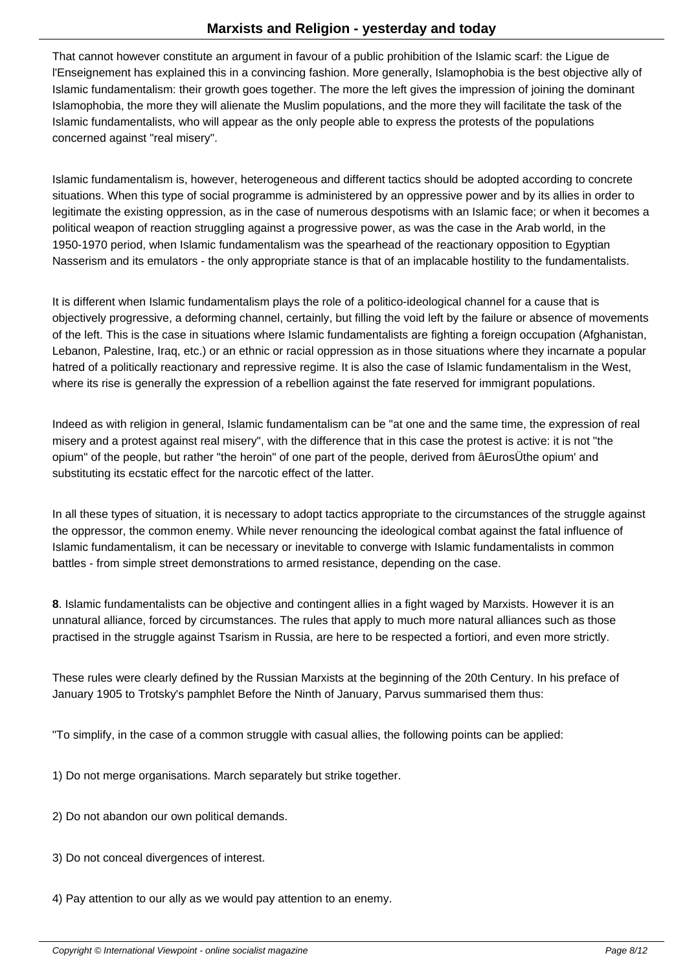That cannot however constitute an argument in favour of a public prohibition of the Islamic scarf: the Ligue de l'Enseignement has explained this in a convincing fashion. More generally, Islamophobia is the best objective ally of Islamic fundamentalism: their growth goes together. The more the left gives the impression of joining the dominant Islamophobia, the more they will alienate the Muslim populations, and the more they will facilitate the task of the Islamic fundamentalists, who will appear as the only people able to express the protests of the populations concerned against "real misery".

Islamic fundamentalism is, however, heterogeneous and different tactics should be adopted according to concrete situations. When this type of social programme is administered by an oppressive power and by its allies in order to legitimate the existing oppression, as in the case of numerous despotisms with an Islamic face; or when it becomes a political weapon of reaction struggling against a progressive power, as was the case in the Arab world, in the 1950-1970 period, when Islamic fundamentalism was the spearhead of the reactionary opposition to Egyptian Nasserism and its emulators - the only appropriate stance is that of an implacable hostility to the fundamentalists.

It is different when Islamic fundamentalism plays the role of a politico-ideological channel for a cause that is objectively progressive, a deforming channel, certainly, but filling the void left by the failure or absence of movements of the left. This is the case in situations where Islamic fundamentalists are fighting a foreign occupation (Afghanistan, Lebanon, Palestine, Iraq, etc.) or an ethnic or racial oppression as in those situations where they incarnate a popular hatred of a politically reactionary and repressive regime. It is also the case of Islamic fundamentalism in the West, where its rise is generally the expression of a rebellion against the fate reserved for immigrant populations.

Indeed as with religion in general, Islamic fundamentalism can be "at one and the same time, the expression of real misery and a protest against real misery", with the difference that in this case the protest is active: it is not "the opium" of the people, but rather "the heroin" of one part of the people, derived from âEurosÜthe opium' and substituting its ecstatic effect for the narcotic effect of the latter.

In all these types of situation, it is necessary to adopt tactics appropriate to the circumstances of the struggle against the oppressor, the common enemy. While never renouncing the ideological combat against the fatal influence of Islamic fundamentalism, it can be necessary or inevitable to converge with Islamic fundamentalists in common battles - from simple street demonstrations to armed resistance, depending on the case.

**8**. Islamic fundamentalists can be objective and contingent allies in a fight waged by Marxists. However it is an unnatural alliance, forced by circumstances. The rules that apply to much more natural alliances such as those practised in the struggle against Tsarism in Russia, are here to be respected a fortiori, and even more strictly.

These rules were clearly defined by the Russian Marxists at the beginning of the 20th Century. In his preface of January 1905 to Trotsky's pamphlet Before the Ninth of January, Parvus summarised them thus:

"To simplify, in the case of a common struggle with casual allies, the following points can be applied:

1) Do not merge organisations. March separately but strike together.

- 2) Do not abandon our own political demands.
- 3) Do not conceal divergences of interest.
- 4) Pay attention to our ally as we would pay attention to an enemy.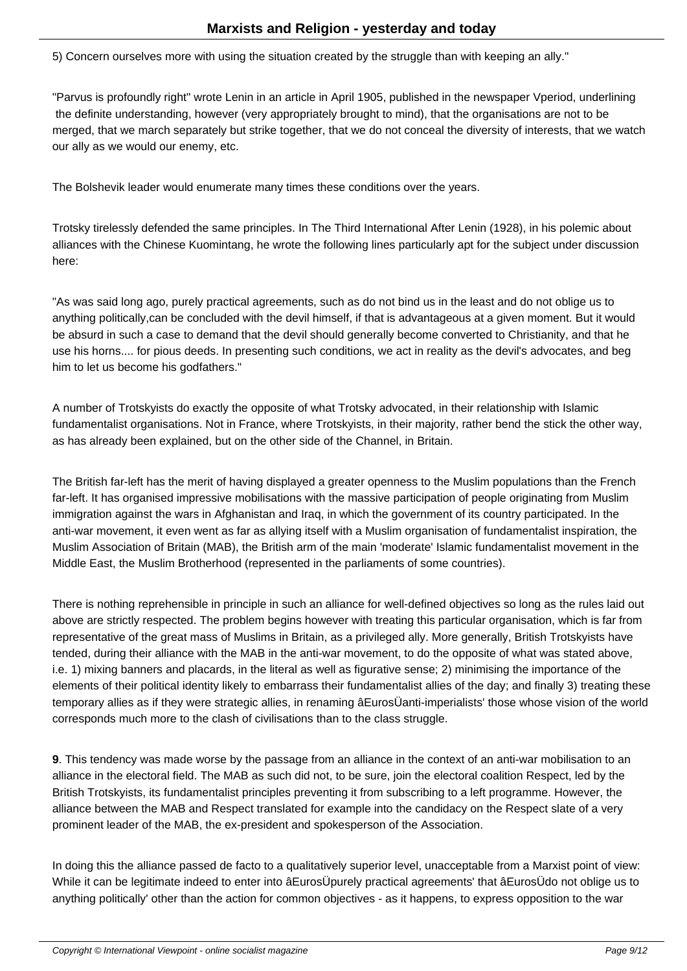5) Concern ourselves more with using the situation created by the struggle than with keeping an ally."

"Parvus is profoundly right" wrote Lenin in an article in April 1905, published in the newspaper Vperiod, underlining the definite understanding, however (very appropriately brought to mind), that the organisations are not to be merged, that we march separately but strike together, that we do not conceal the diversity of interests, that we watch our ally as we would our enemy, etc.

The Bolshevik leader would enumerate many times these conditions over the years.

Trotsky tirelessly defended the same principles. In The Third International After Lenin (1928), in his polemic about alliances with the Chinese Kuomintang, he wrote the following lines particularly apt for the subject under discussion here:

"As was said long ago, purely practical agreements, such as do not bind us in the least and do not oblige us to anything politically,can be concluded with the devil himself, if that is advantageous at a given moment. But it would be absurd in such a case to demand that the devil should generally become converted to Christianity, and that he use his horns.... for pious deeds. In presenting such conditions, we act in reality as the devil's advocates, and beg him to let us become his godfathers."

A number of Trotskyists do exactly the opposite of what Trotsky advocated, in their relationship with Islamic fundamentalist organisations. Not in France, where Trotskyists, in their majority, rather bend the stick the other way, as has already been explained, but on the other side of the Channel, in Britain.

The British far-left has the merit of having displayed a greater openness to the Muslim populations than the French far-left. It has organised impressive mobilisations with the massive participation of people originating from Muslim immigration against the wars in Afghanistan and Iraq, in which the government of its country participated. In the anti-war movement, it even went as far as allying itself with a Muslim organisation of fundamentalist inspiration, the Muslim Association of Britain (MAB), the British arm of the main 'moderate' Islamic fundamentalist movement in the Middle East, the Muslim Brotherhood (represented in the parliaments of some countries).

There is nothing reprehensible in principle in such an alliance for well-defined objectives so long as the rules laid out above are strictly respected. The problem begins however with treating this particular organisation, which is far from representative of the great mass of Muslims in Britain, as a privileged ally. More generally, British Trotskyists have tended, during their alliance with the MAB in the anti-war movement, to do the opposite of what was stated above, i.e. 1) mixing banners and placards, in the literal as well as figurative sense; 2) minimising the importance of the elements of their political identity likely to embarrass their fundamentalist allies of the day; and finally 3) treating these temporary allies as if they were strategic allies, in renaming âEurosÜanti-imperialists' those whose vision of the world corresponds much more to the clash of civilisations than to the class struggle.

**9**. This tendency was made worse by the passage from an alliance in the context of an anti-war mobilisation to an alliance in the electoral field. The MAB as such did not, to be sure, join the electoral coalition Respect, led by the British Trotskyists, its fundamentalist principles preventing it from subscribing to a left programme. However, the alliance between the MAB and Respect translated for example into the candidacy on the Respect slate of a very prominent leader of the MAB, the ex-president and spokesperson of the Association.

In doing this the alliance passed de facto to a qualitatively superior level, unacceptable from a Marxist point of view: While it can be legitimate indeed to enter into âEurosÜpurely practical agreements' that âEurosÜdo not oblige us to anything politically' other than the action for common objectives - as it happens, to express opposition to the war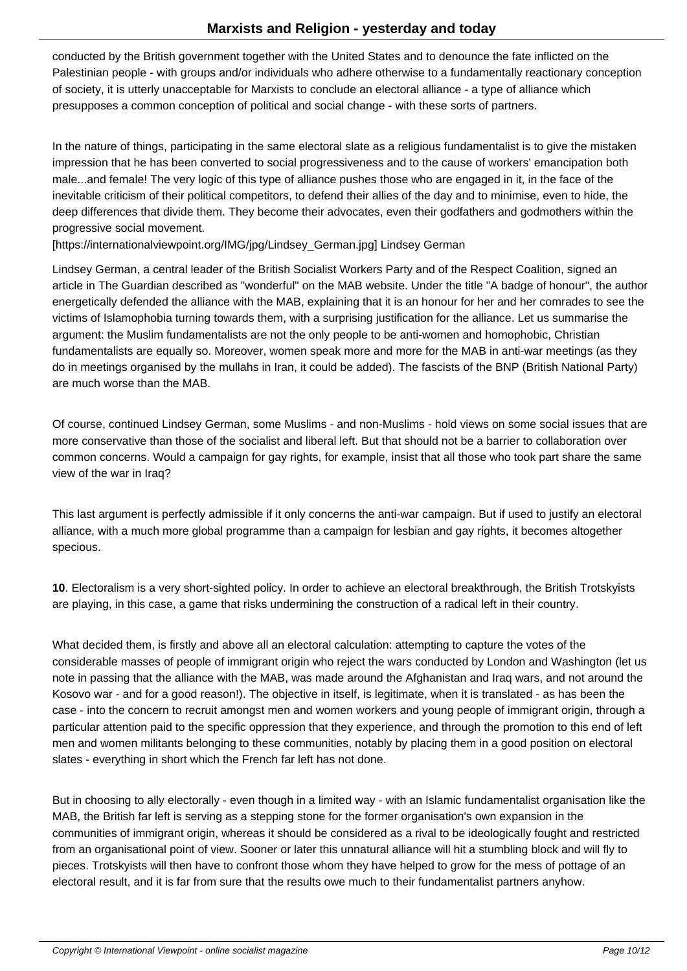conducted by the British government together with the United States and to denounce the fate inflicted on the Palestinian people - with groups and/or individuals who adhere otherwise to a fundamentally reactionary conception of society, it is utterly unacceptable for Marxists to conclude an electoral alliance - a type of alliance which presupposes a common conception of political and social change - with these sorts of partners.

In the nature of things, participating in the same electoral slate as a religious fundamentalist is to give the mistaken impression that he has been converted to social progressiveness and to the cause of workers' emancipation both male...and female! The very logic of this type of alliance pushes those who are engaged in it, in the face of the inevitable criticism of their political competitors, to defend their allies of the day and to minimise, even to hide, the deep differences that divide them. They become their advocates, even their godfathers and godmothers within the progressive social movement.

[https://internationalviewpoint.org/IMG/jpg/Lindsey\_German.jpg] Lindsey German

Lindsey German, a central leader of the British Socialist Workers Party and of the Respect Coalition, signed an article in The Guardian described as "wonderful" on the MAB website. Under the title "A badge of honour", the author energetically defended the alliance with the MAB, explaining that it is an honour for her and her comrades to see the victims of Islamophobia turning towards them, with a surprising justification for the alliance. Let us summarise the argument: the Muslim fundamentalists are not the only people to be anti-women and homophobic, Christian fundamentalists are equally so. Moreover, women speak more and more for the MAB in anti-war meetings (as they do in meetings organised by the mullahs in Iran, it could be added). The fascists of the BNP (British National Party) are much worse than the MAB.

Of course, continued Lindsey German, some Muslims - and non-Muslims - hold views on some social issues that are more conservative than those of the socialist and liberal left. But that should not be a barrier to collaboration over common concerns. Would a campaign for gay rights, for example, insist that all those who took part share the same view of the war in Iraq?

This last argument is perfectly admissible if it only concerns the anti-war campaign. But if used to justify an electoral alliance, with a much more global programme than a campaign for lesbian and gay rights, it becomes altogether specious.

**10**. Electoralism is a very short-sighted policy. In order to achieve an electoral breakthrough, the British Trotskyists are playing, in this case, a game that risks undermining the construction of a radical left in their country.

What decided them, is firstly and above all an electoral calculation: attempting to capture the votes of the considerable masses of people of immigrant origin who reject the wars conducted by London and Washington (let us note in passing that the alliance with the MAB, was made around the Afghanistan and Iraq wars, and not around the Kosovo war - and for a good reason!). The objective in itself, is legitimate, when it is translated - as has been the case - into the concern to recruit amongst men and women workers and young people of immigrant origin, through a particular attention paid to the specific oppression that they experience, and through the promotion to this end of left men and women militants belonging to these communities, notably by placing them in a good position on electoral slates - everything in short which the French far left has not done.

But in choosing to ally electorally - even though in a limited way - with an Islamic fundamentalist organisation like the MAB, the British far left is serving as a stepping stone for the former organisation's own expansion in the communities of immigrant origin, whereas it should be considered as a rival to be ideologically fought and restricted from an organisational point of view. Sooner or later this unnatural alliance will hit a stumbling block and will fly to pieces. Trotskyists will then have to confront those whom they have helped to grow for the mess of pottage of an electoral result, and it is far from sure that the results owe much to their fundamentalist partners anyhow.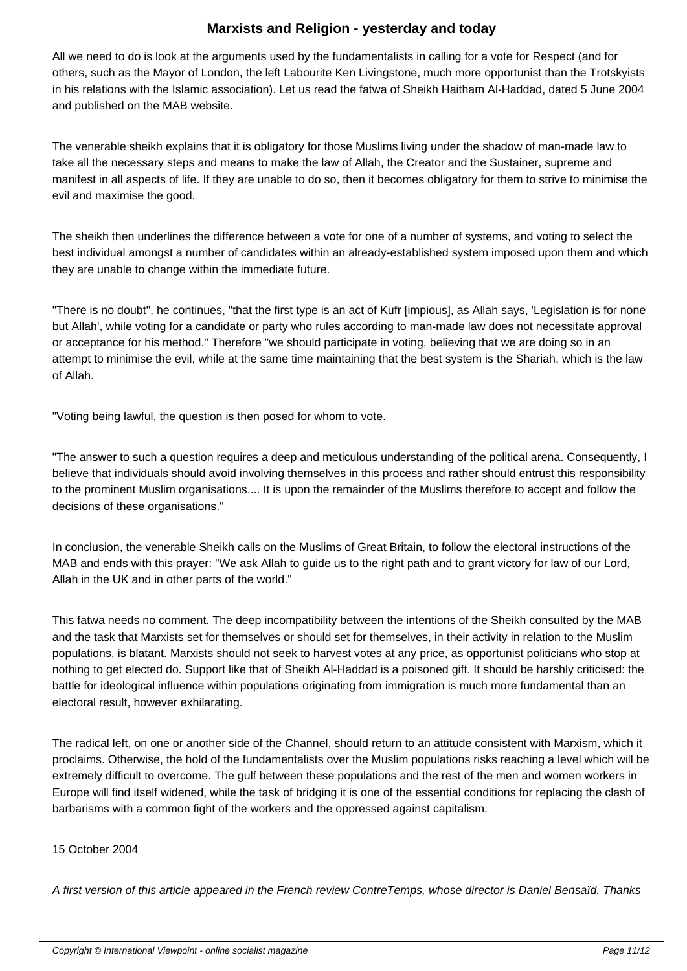All we need to do is look at the arguments used by the fundamentalists in calling for a vote for Respect (and for others, such as the Mayor of London, the left Labourite Ken Livingstone, much more opportunist than the Trotskyists in his relations with the Islamic association). Let us read the fatwa of Sheikh Haitham Al-Haddad, dated 5 June 2004 and published on the MAB website.

The venerable sheikh explains that it is obligatory for those Muslims living under the shadow of man-made law to take all the necessary steps and means to make the law of Allah, the Creator and the Sustainer, supreme and manifest in all aspects of life. If they are unable to do so, then it becomes obligatory for them to strive to minimise the evil and maximise the good.

The sheikh then underlines the difference between a vote for one of a number of systems, and voting to select the best individual amongst a number of candidates within an already-established system imposed upon them and which they are unable to change within the immediate future.

"There is no doubt", he continues, "that the first type is an act of Kufr [impious], as Allah says, 'Legislation is for none but Allah', while voting for a candidate or party who rules according to man-made law does not necessitate approval or acceptance for his method." Therefore "we should participate in voting, believing that we are doing so in an attempt to minimise the evil, while at the same time maintaining that the best system is the Shariah, which is the law of Allah.

"Voting being lawful, the question is then posed for whom to vote.

"The answer to such a question requires a deep and meticulous understanding of the political arena. Consequently, I believe that individuals should avoid involving themselves in this process and rather should entrust this responsibility to the prominent Muslim organisations.... It is upon the remainder of the Muslims therefore to accept and follow the decisions of these organisations."

In conclusion, the venerable Sheikh calls on the Muslims of Great Britain, to follow the electoral instructions of the MAB and ends with this prayer: "We ask Allah to guide us to the right path and to grant victory for law of our Lord, Allah in the UK and in other parts of the world."

This fatwa needs no comment. The deep incompatibility between the intentions of the Sheikh consulted by the MAB and the task that Marxists set for themselves or should set for themselves, in their activity in relation to the Muslim populations, is blatant. Marxists should not seek to harvest votes at any price, as opportunist politicians who stop at nothing to get elected do. Support like that of Sheikh Al-Haddad is a poisoned gift. It should be harshly criticised: the battle for ideological influence within populations originating from immigration is much more fundamental than an electoral result, however exhilarating.

The radical left, on one or another side of the Channel, should return to an attitude consistent with Marxism, which it proclaims. Otherwise, the hold of the fundamentalists over the Muslim populations risks reaching a level which will be extremely difficult to overcome. The gulf between these populations and the rest of the men and women workers in Europe will find itself widened, while the task of bridging it is one of the essential conditions for replacing the clash of barbarisms with a common fight of the workers and the oppressed against capitalism.

## 15 October 2004

A first version of this article appeared in the French review ContreTemps, whose director is Daniel Bensaïd. Thanks